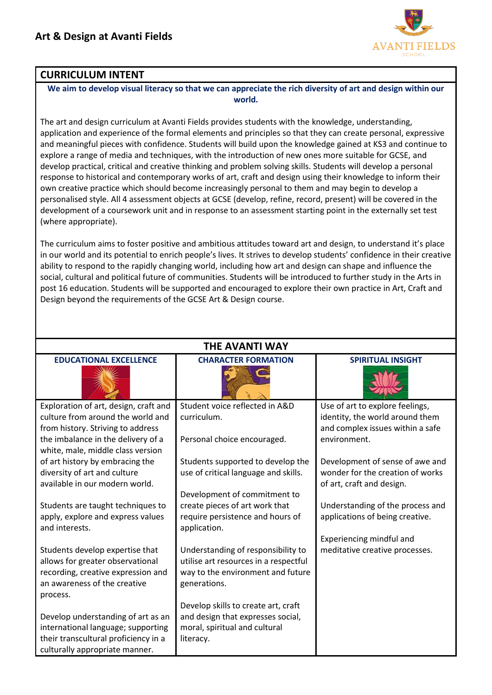

## **CURRICULUM INTENT**

**We aim to develop visual literacy so that we can appreciate the rich diversity of art and design within our world.**

The art and design curriculum at Avanti Fields provides students with the knowledge, understanding, application and experience of the formal elements and principles so that they can create personal, expressive and meaningful pieces with confidence. Students will build upon the knowledge gained at KS3 and continue to explore a range of media and techniques, with the introduction of new ones more suitable for GCSE, and develop practical, critical and creative thinking and problem solving skills. Students will develop a personal response to historical and contemporary works of art, craft and design using their knowledge to inform their own creative practice which should become increasingly personal to them and may begin to develop a personalised style. All 4 assessment objects at GCSE (develop, refine, record, present) will be covered in the development of a coursework unit and in response to an assessment starting point in the externally set test (where appropriate).

The curriculum aims to foster positive and ambitious attitudes toward art and design, to understand it's place in our world and its potential to enrich people's lives. It strives to develop students' confidence in their creative ability to respond to the rapidly changing world, including how art and design can shape and influence the social, cultural and political future of communities. Students will be introduced to further study in the Arts in post 16 education. Students will be supported and encouraged to explore their own practice in Art, Craft and Design beyond the requirements of the GCSE Art & Design course.

| <b>EDUCATIONAL EXCELLENCE</b><br><b>CHARACTER FORMATION</b><br><b>SPIRITUAL INSIGHT</b><br>Student voice reflected in A&D<br>Exploration of art, design, craft and<br>Use of art to explore feelings,<br>culture from around the world and<br>identity, the world around them<br>curriculum.<br>from history. Striving to address<br>and complex issues within a safe<br>the imbalance in the delivery of a<br>Personal choice encouraged.<br>environment.<br>white, male, middle class version<br>of art history by embracing the<br>Students supported to develop the<br>Development of sense of awe and<br>wonder for the creation of works<br>diversity of art and culture<br>use of critical language and skills.<br>available in our modern world.<br>of art, craft and design.<br>Development of commitment to<br>create pieces of art work that<br>Students are taught techniques to<br>Understanding of the process and<br>apply, explore and express values<br>require persistence and hours of<br>applications of being creative.<br>and interests.<br>application.<br>Experiencing mindful and<br>Students develop expertise that<br>Understanding of responsibility to<br>meditative creative processes.<br>allows for greater observational<br>utilise art resources in a respectful<br>recording, creative expression and<br>way to the environment and future<br>an awareness of the creative<br>generations.<br>process.<br>Develop skills to create art, craft<br>and design that expresses social,<br>Develop understanding of art as an<br>international language; supporting<br>moral, spiritual and cultural | <b>THE AVANTI WAY</b>                |           |  |  |  |
|------------------------------------------------------------------------------------------------------------------------------------------------------------------------------------------------------------------------------------------------------------------------------------------------------------------------------------------------------------------------------------------------------------------------------------------------------------------------------------------------------------------------------------------------------------------------------------------------------------------------------------------------------------------------------------------------------------------------------------------------------------------------------------------------------------------------------------------------------------------------------------------------------------------------------------------------------------------------------------------------------------------------------------------------------------------------------------------------------------------------------------------------------------------------------------------------------------------------------------------------------------------------------------------------------------------------------------------------------------------------------------------------------------------------------------------------------------------------------------------------------------------------------------------------------------------------------------------------------------------------------------|--------------------------------------|-----------|--|--|--|
|                                                                                                                                                                                                                                                                                                                                                                                                                                                                                                                                                                                                                                                                                                                                                                                                                                                                                                                                                                                                                                                                                                                                                                                                                                                                                                                                                                                                                                                                                                                                                                                                                                    |                                      |           |  |  |  |
|                                                                                                                                                                                                                                                                                                                                                                                                                                                                                                                                                                                                                                                                                                                                                                                                                                                                                                                                                                                                                                                                                                                                                                                                                                                                                                                                                                                                                                                                                                                                                                                                                                    |                                      |           |  |  |  |
|                                                                                                                                                                                                                                                                                                                                                                                                                                                                                                                                                                                                                                                                                                                                                                                                                                                                                                                                                                                                                                                                                                                                                                                                                                                                                                                                                                                                                                                                                                                                                                                                                                    |                                      |           |  |  |  |
|                                                                                                                                                                                                                                                                                                                                                                                                                                                                                                                                                                                                                                                                                                                                                                                                                                                                                                                                                                                                                                                                                                                                                                                                                                                                                                                                                                                                                                                                                                                                                                                                                                    |                                      |           |  |  |  |
|                                                                                                                                                                                                                                                                                                                                                                                                                                                                                                                                                                                                                                                                                                                                                                                                                                                                                                                                                                                                                                                                                                                                                                                                                                                                                                                                                                                                                                                                                                                                                                                                                                    |                                      |           |  |  |  |
|                                                                                                                                                                                                                                                                                                                                                                                                                                                                                                                                                                                                                                                                                                                                                                                                                                                                                                                                                                                                                                                                                                                                                                                                                                                                                                                                                                                                                                                                                                                                                                                                                                    |                                      |           |  |  |  |
|                                                                                                                                                                                                                                                                                                                                                                                                                                                                                                                                                                                                                                                                                                                                                                                                                                                                                                                                                                                                                                                                                                                                                                                                                                                                                                                                                                                                                                                                                                                                                                                                                                    |                                      |           |  |  |  |
|                                                                                                                                                                                                                                                                                                                                                                                                                                                                                                                                                                                                                                                                                                                                                                                                                                                                                                                                                                                                                                                                                                                                                                                                                                                                                                                                                                                                                                                                                                                                                                                                                                    |                                      |           |  |  |  |
|                                                                                                                                                                                                                                                                                                                                                                                                                                                                                                                                                                                                                                                                                                                                                                                                                                                                                                                                                                                                                                                                                                                                                                                                                                                                                                                                                                                                                                                                                                                                                                                                                                    |                                      |           |  |  |  |
|                                                                                                                                                                                                                                                                                                                                                                                                                                                                                                                                                                                                                                                                                                                                                                                                                                                                                                                                                                                                                                                                                                                                                                                                                                                                                                                                                                                                                                                                                                                                                                                                                                    |                                      |           |  |  |  |
|                                                                                                                                                                                                                                                                                                                                                                                                                                                                                                                                                                                                                                                                                                                                                                                                                                                                                                                                                                                                                                                                                                                                                                                                                                                                                                                                                                                                                                                                                                                                                                                                                                    |                                      |           |  |  |  |
|                                                                                                                                                                                                                                                                                                                                                                                                                                                                                                                                                                                                                                                                                                                                                                                                                                                                                                                                                                                                                                                                                                                                                                                                                                                                                                                                                                                                                                                                                                                                                                                                                                    |                                      |           |  |  |  |
|                                                                                                                                                                                                                                                                                                                                                                                                                                                                                                                                                                                                                                                                                                                                                                                                                                                                                                                                                                                                                                                                                                                                                                                                                                                                                                                                                                                                                                                                                                                                                                                                                                    |                                      |           |  |  |  |
|                                                                                                                                                                                                                                                                                                                                                                                                                                                                                                                                                                                                                                                                                                                                                                                                                                                                                                                                                                                                                                                                                                                                                                                                                                                                                                                                                                                                                                                                                                                                                                                                                                    |                                      |           |  |  |  |
|                                                                                                                                                                                                                                                                                                                                                                                                                                                                                                                                                                                                                                                                                                                                                                                                                                                                                                                                                                                                                                                                                                                                                                                                                                                                                                                                                                                                                                                                                                                                                                                                                                    |                                      |           |  |  |  |
|                                                                                                                                                                                                                                                                                                                                                                                                                                                                                                                                                                                                                                                                                                                                                                                                                                                                                                                                                                                                                                                                                                                                                                                                                                                                                                                                                                                                                                                                                                                                                                                                                                    |                                      |           |  |  |  |
|                                                                                                                                                                                                                                                                                                                                                                                                                                                                                                                                                                                                                                                                                                                                                                                                                                                                                                                                                                                                                                                                                                                                                                                                                                                                                                                                                                                                                                                                                                                                                                                                                                    |                                      |           |  |  |  |
|                                                                                                                                                                                                                                                                                                                                                                                                                                                                                                                                                                                                                                                                                                                                                                                                                                                                                                                                                                                                                                                                                                                                                                                                                                                                                                                                                                                                                                                                                                                                                                                                                                    |                                      |           |  |  |  |
|                                                                                                                                                                                                                                                                                                                                                                                                                                                                                                                                                                                                                                                                                                                                                                                                                                                                                                                                                                                                                                                                                                                                                                                                                                                                                                                                                                                                                                                                                                                                                                                                                                    | their transcultural proficiency in a | literacy. |  |  |  |
| culturally appropriate manner.                                                                                                                                                                                                                                                                                                                                                                                                                                                                                                                                                                                                                                                                                                                                                                                                                                                                                                                                                                                                                                                                                                                                                                                                                                                                                                                                                                                                                                                                                                                                                                                                     |                                      |           |  |  |  |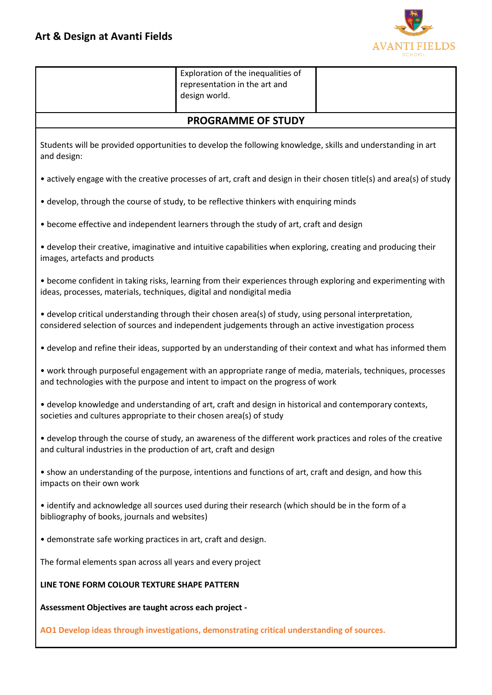

|                                                                                                                                                                                                              | Exploration of the inequalities of<br>representation in the art and<br>design world.                                 |  |  |  |
|--------------------------------------------------------------------------------------------------------------------------------------------------------------------------------------------------------------|----------------------------------------------------------------------------------------------------------------------|--|--|--|
|                                                                                                                                                                                                              | <b>PROGRAMME OF STUDY</b>                                                                                            |  |  |  |
| Students will be provided opportunities to develop the following knowledge, skills and understanding in art<br>and design:                                                                                   |                                                                                                                      |  |  |  |
|                                                                                                                                                                                                              | • actively engage with the creative processes of art, craft and design in their chosen title(s) and area(s) of study |  |  |  |
|                                                                                                                                                                                                              | • develop, through the course of study, to be reflective thinkers with enquiring minds                               |  |  |  |
|                                                                                                                                                                                                              | • become effective and independent learners through the study of art, craft and design                               |  |  |  |
| • develop their creative, imaginative and intuitive capabilities when exploring, creating and producing their<br>images, artefacts and products                                                              |                                                                                                                      |  |  |  |
| • become confident in taking risks, learning from their experiences through exploring and experimenting with<br>ideas, processes, materials, techniques, digital and nondigital media                        |                                                                                                                      |  |  |  |
| • develop critical understanding through their chosen area(s) of study, using personal interpretation,<br>considered selection of sources and independent judgements through an active investigation process |                                                                                                                      |  |  |  |
| • develop and refine their ideas, supported by an understanding of their context and what has informed them                                                                                                  |                                                                                                                      |  |  |  |
| • work through purposeful engagement with an appropriate range of media, materials, techniques, processes<br>and technologies with the purpose and intent to impact on the progress of work                  |                                                                                                                      |  |  |  |
| • develop knowledge and understanding of art, craft and design in historical and contemporary contexts,<br>societies and cultures appropriate to their chosen area(s) of study                               |                                                                                                                      |  |  |  |
| • develop through the course of study, an awareness of the different work practices and roles of the creative<br>and cultural industries in the production of art, craft and design                          |                                                                                                                      |  |  |  |
| • show an understanding of the purpose, intentions and functions of art, craft and design, and how this<br>impacts on their own work                                                                         |                                                                                                                      |  |  |  |
| • identify and acknowledge all sources used during their research (which should be in the form of a<br>bibliography of books, journals and websites)                                                         |                                                                                                                      |  |  |  |
| • demonstrate safe working practices in art, craft and design.                                                                                                                                               |                                                                                                                      |  |  |  |
| The formal elements span across all years and every project                                                                                                                                                  |                                                                                                                      |  |  |  |
| LINE TONE FORM COLOUR TEXTURE SHAPE PATTERN                                                                                                                                                                  |                                                                                                                      |  |  |  |
| Assessment Objectives are taught across each project -                                                                                                                                                       |                                                                                                                      |  |  |  |
| AO1 Develop ideas through investigations, demonstrating critical understanding of sources.                                                                                                                   |                                                                                                                      |  |  |  |
|                                                                                                                                                                                                              |                                                                                                                      |  |  |  |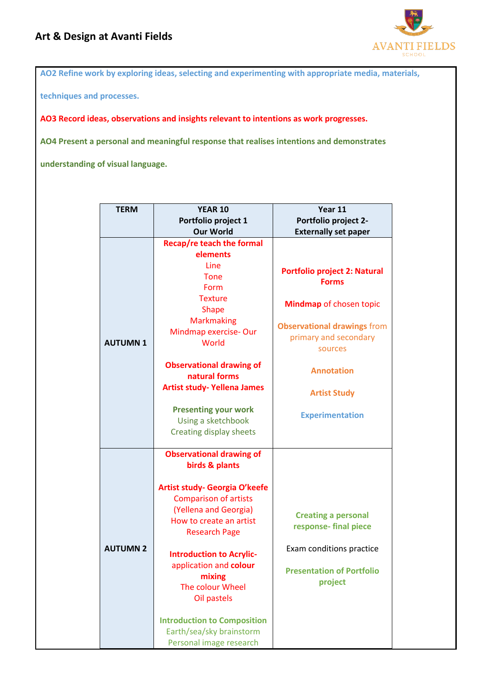

**AO2 Refine work by exploring ideas, selecting and experimenting with appropriate media, materials,** 

**techniques and processes.**

**AO3 Record ideas, observations and insights relevant to intentions as work progresses.**

**AO4 Present a personal and meaningful response that realises intentions and demonstrates** 

**understanding of visual language.**

| <b>TERM</b>     | <b>YEAR 10</b>                                                                                                                                                                                                                                                                                                                                                                                        | Year 11                                                                                                                                                                                                                        |
|-----------------|-------------------------------------------------------------------------------------------------------------------------------------------------------------------------------------------------------------------------------------------------------------------------------------------------------------------------------------------------------------------------------------------------------|--------------------------------------------------------------------------------------------------------------------------------------------------------------------------------------------------------------------------------|
|                 | Portfolio project 1                                                                                                                                                                                                                                                                                                                                                                                   | Portfolio project 2-                                                                                                                                                                                                           |
|                 | <b>Our World</b>                                                                                                                                                                                                                                                                                                                                                                                      | <b>Externally set paper</b>                                                                                                                                                                                                    |
| <b>AUTUMN1</b>  | Recap/re teach the formal<br>elements<br>Line<br>Tone<br>Form<br><b>Texture</b><br><b>Shape</b><br><b>Markmaking</b><br>Mindmap exercise-Our<br>World<br><b>Observational drawing of</b><br>natural forms<br><b>Artist study- Yellena James</b><br><b>Presenting your work</b><br>Using a sketchbook<br>Creating display sheets                                                                       | <b>Portfolio project 2: Natural</b><br><b>Forms</b><br>Mindmap of chosen topic<br><b>Observational drawings from</b><br>primary and secondary<br>sources<br><b>Annotation</b><br><b>Artist Study</b><br><b>Experimentation</b> |
| <b>AUTUMN 2</b> | <b>Observational drawing of</b><br>birds & plants<br>Artist study- Georgia O'keefe<br><b>Comparison of artists</b><br>(Yellena and Georgia)<br>How to create an artist<br><b>Research Page</b><br><b>Introduction to Acrylic-</b><br>application and colour<br>mixing<br>The colour Wheel<br>Oil pastels<br><b>Introduction to Composition</b><br>Earth/sea/sky brainstorm<br>Personal image research | <b>Creating a personal</b><br>response-final piece<br>Exam conditions practice<br><b>Presentation of Portfolio</b><br>project                                                                                                  |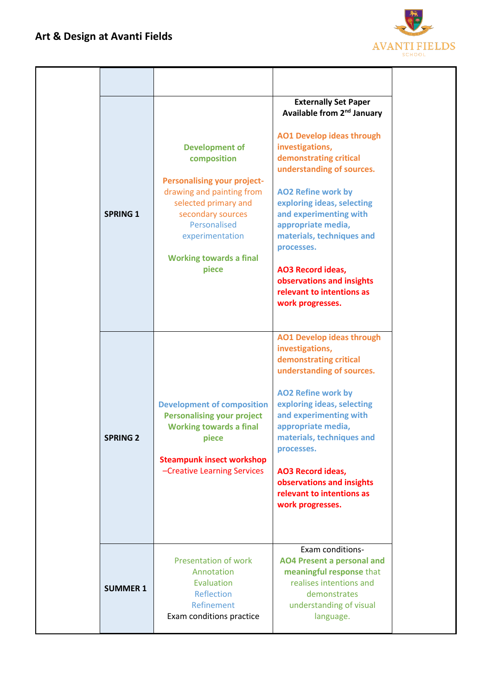

| <b>SPRING 1</b> | <b>Development of</b><br>composition<br><b>Personalising your project-</b><br>drawing and painting from<br>selected primary and<br>secondary sources<br>Personalised<br>experimentation<br><b>Working towards a final</b><br>piece | <b>Externally Set Paper</b><br>Available from 2 <sup>nd</sup> January<br><b>AO1 Develop ideas through</b><br>investigations,<br>demonstrating critical<br>understanding of sources.<br><b>AO2 Refine work by</b><br>exploring ideas, selecting<br>and experimenting with<br>appropriate media,<br>materials, techniques and<br>processes.<br><b>AO3 Record ideas,</b><br>observations and insights<br>relevant to intentions as<br>work progresses. |
|-----------------|------------------------------------------------------------------------------------------------------------------------------------------------------------------------------------------------------------------------------------|-----------------------------------------------------------------------------------------------------------------------------------------------------------------------------------------------------------------------------------------------------------------------------------------------------------------------------------------------------------------------------------------------------------------------------------------------------|
| <b>SPRING 2</b> | <b>Development of composition</b><br><b>Personalising your project</b><br><b>Working towards a final</b><br>piece<br><b>Steampunk insect workshop</b><br>-Creative Learning Services                                               | <b>AO1 Develop ideas through</b><br>investigations,<br>demonstrating critical<br>understanding of sources.<br><b>AO2 Refine work by</b><br>exploring ideas, selecting<br>and experimenting with<br>appropriate media,<br>materials, techniques and<br>processes.<br><b>AO3 Record ideas,</b><br>observations and insights<br>relevant to intentions as<br>work progresses.                                                                          |
| <b>SUMMER 1</b> | <b>Presentation of work</b><br>Annotation<br>Evaluation<br>Reflection<br>Refinement<br>Exam conditions practice                                                                                                                    | Exam conditions-<br><b>AO4 Present a personal and</b><br>meaningful response that<br>realises intentions and<br>demonstrates<br>understanding of visual<br>language.                                                                                                                                                                                                                                                                                |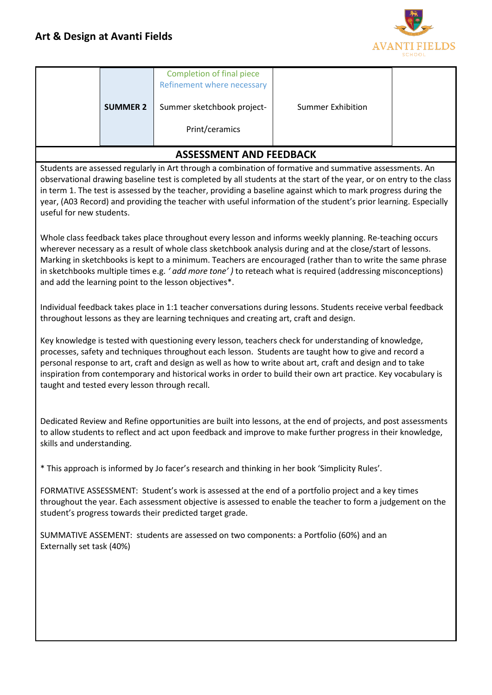

|                                                                                                                                                                                                                                                                                                                                                                                                                                                                                                               | <b>SUMMER 2</b> | <b>Completion of final piece</b><br>Refinement where necessary<br>Summer sketchbook project-<br>Print/ceramics                                                                                          | <b>Summer Exhibition</b> |  |  |
|---------------------------------------------------------------------------------------------------------------------------------------------------------------------------------------------------------------------------------------------------------------------------------------------------------------------------------------------------------------------------------------------------------------------------------------------------------------------------------------------------------------|-----------------|---------------------------------------------------------------------------------------------------------------------------------------------------------------------------------------------------------|--------------------------|--|--|
|                                                                                                                                                                                                                                                                                                                                                                                                                                                                                                               |                 |                                                                                                                                                                                                         |                          |  |  |
|                                                                                                                                                                                                                                                                                                                                                                                                                                                                                                               |                 | <b>ASSESSMENT AND FEEDBACK</b>                                                                                                                                                                          |                          |  |  |
| Students are assessed regularly in Art through a combination of formative and summative assessments. An<br>observational drawing baseline test is completed by all students at the start of the year, or on entry to the class<br>in term 1. The test is assessed by the teacher, providing a baseline against which to mark progress during the<br>year, (A03 Record) and providing the teacher with useful information of the student's prior learning. Especially<br>useful for new students.              |                 |                                                                                                                                                                                                         |                          |  |  |
| Whole class feedback takes place throughout every lesson and informs weekly planning. Re-teaching occurs<br>wherever necessary as a result of whole class sketchbook analysis during and at the close/start of lessons.<br>Marking in sketchbooks is kept to a minimum. Teachers are encouraged (rather than to write the same phrase<br>in sketchbooks multiple times e.g. 'add more tone') to reteach what is required (addressing misconceptions)<br>and add the learning point to the lesson objectives*. |                 |                                                                                                                                                                                                         |                          |  |  |
|                                                                                                                                                                                                                                                                                                                                                                                                                                                                                                               |                 | Individual feedback takes place in 1:1 teacher conversations during lessons. Students receive verbal feedback<br>throughout lessons as they are learning techniques and creating art, craft and design. |                          |  |  |
| Key knowledge is tested with questioning every lesson, teachers check for understanding of knowledge,<br>processes, safety and techniques throughout each lesson. Students are taught how to give and record a<br>personal response to art, craft and design as well as how to write about art, craft and design and to take<br>inspiration from contemporary and historical works in order to build their own art practice. Key vocabulary is<br>taught and tested every lesson through recall.              |                 |                                                                                                                                                                                                         |                          |  |  |
| Dedicated Review and Refine opportunities are built into lessons, at the end of projects, and post assessments<br>to allow students to reflect and act upon feedback and improve to make further progress in their knowledge<br>skills and understanding.                                                                                                                                                                                                                                                     |                 |                                                                                                                                                                                                         |                          |  |  |
| * This approach is informed by Jo facer's research and thinking in her book 'Simplicity Rules'.                                                                                                                                                                                                                                                                                                                                                                                                               |                 |                                                                                                                                                                                                         |                          |  |  |
| FORMATIVE ASSESSMENT: Student's work is assessed at the end of a portfolio project and a key times<br>throughout the year. Each assessment objective is assessed to enable the teacher to form a judgement on the<br>student's progress towards their predicted target grade.                                                                                                                                                                                                                                 |                 |                                                                                                                                                                                                         |                          |  |  |
| SUMMATIVE ASSEMENT: students are assessed on two components: a Portfolio (60%) and an<br>Externally set task (40%)                                                                                                                                                                                                                                                                                                                                                                                            |                 |                                                                                                                                                                                                         |                          |  |  |
|                                                                                                                                                                                                                                                                                                                                                                                                                                                                                                               |                 |                                                                                                                                                                                                         |                          |  |  |